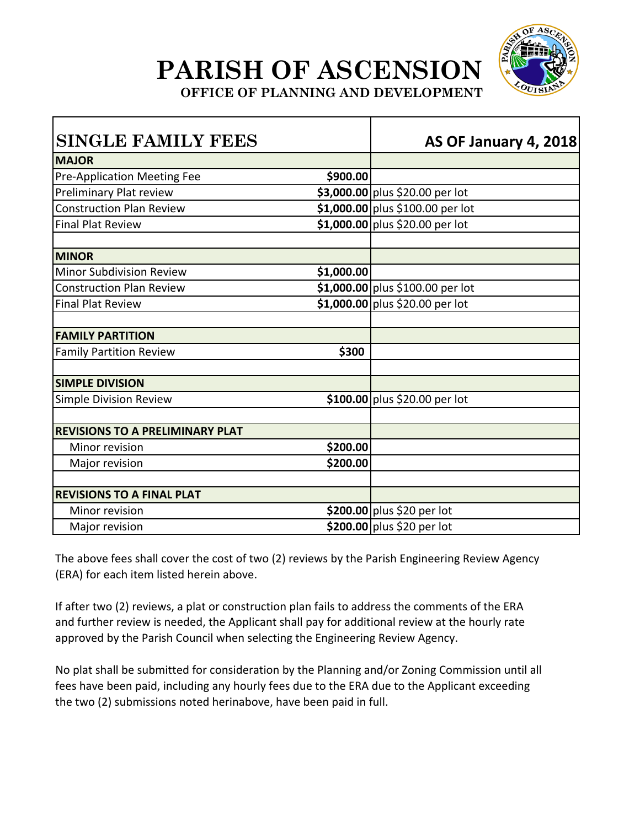

**OFFICE OF PLANNING AND DEVELOPMENT** 

|            | <b>AS OF January 4, 2018</b>     |
|------------|----------------------------------|
|            |                                  |
| \$900.00   |                                  |
|            | \$3,000.00 plus \$20.00 per lot  |
|            | \$1,000.00 plus \$100.00 per lot |
|            | \$1,000.00 plus \$20.00 per lot  |
|            |                                  |
| \$1,000.00 |                                  |
|            | \$1,000.00 plus \$100.00 per lot |
|            | \$1,000.00 plus \$20.00 per lot  |
|            |                                  |
| \$300      |                                  |
|            |                                  |
|            | \$100.00 plus \$20.00 per lot    |
|            |                                  |
| \$200.00   |                                  |
| \$200.00   |                                  |
|            |                                  |
|            | \$200.00 plus \$20 per lot       |
|            | \$200.00 plus \$20 per lot       |
|            |                                  |

The above fees shall cover the cost of two (2) reviews by the Parish Engineering Review Agency (ERA) for each item listed herein above.

If after two (2) reviews, a plat or construction plan fails to address the comments of the ERA and further review is needed, the Applicant shall pay for additional review at the hourly rate approved by the Parish Council when selecting the Engineering Review Agency.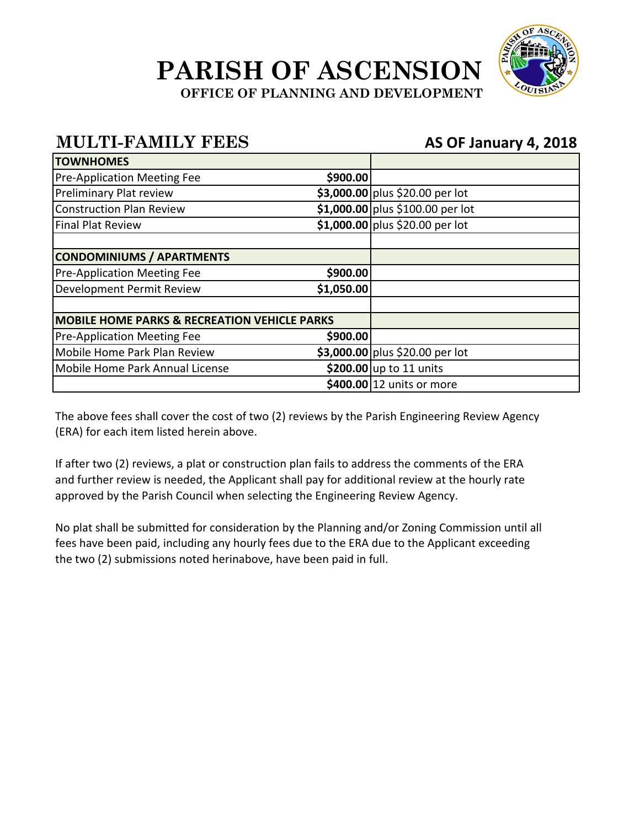

**OFFICE OF PLANNING AND DEVELOPMENT** 

#### **MULTI-FAMILY FEES AS OF January 4, 2018**

| <b>TOWNHOMES</b>                                        |            |                                  |
|---------------------------------------------------------|------------|----------------------------------|
| <b>Pre-Application Meeting Fee</b>                      | \$900.00   |                                  |
| Preliminary Plat review                                 |            | \$3,000.00 plus \$20.00 per lot  |
| <b>Construction Plan Review</b>                         |            | \$1,000.00 plus \$100.00 per lot |
| <b>Final Plat Review</b>                                |            | \$1,000.00 plus \$20.00 per lot  |
|                                                         |            |                                  |
| <b>CONDOMINIUMS / APARTMENTS</b>                        |            |                                  |
| <b>Pre-Application Meeting Fee</b>                      | \$900.00   |                                  |
| Development Permit Review                               | \$1,050.00 |                                  |
| <b>MOBILE HOME PARKS &amp; RECREATION VEHICLE PARKS</b> |            |                                  |
| <b>Pre-Application Meeting Fee</b>                      | \$900.00   |                                  |
| Mobile Home Park Plan Review                            |            | \$3,000.00 plus \$20.00 per lot  |
| Mobile Home Park Annual License                         |            | \$200.00 up to 11 units          |
|                                                         |            | \$400.00 12 units or more        |

The above fees shall cover the cost of two (2) reviews by the Parish Engineering Review Agency (ERA) for each item listed herein above.

If after two (2) reviews, a plat or construction plan fails to address the comments of the ERA and further review is needed, the Applicant shall pay for additional review at the hourly rate approved by the Parish Council when selecting the Engineering Review Agency.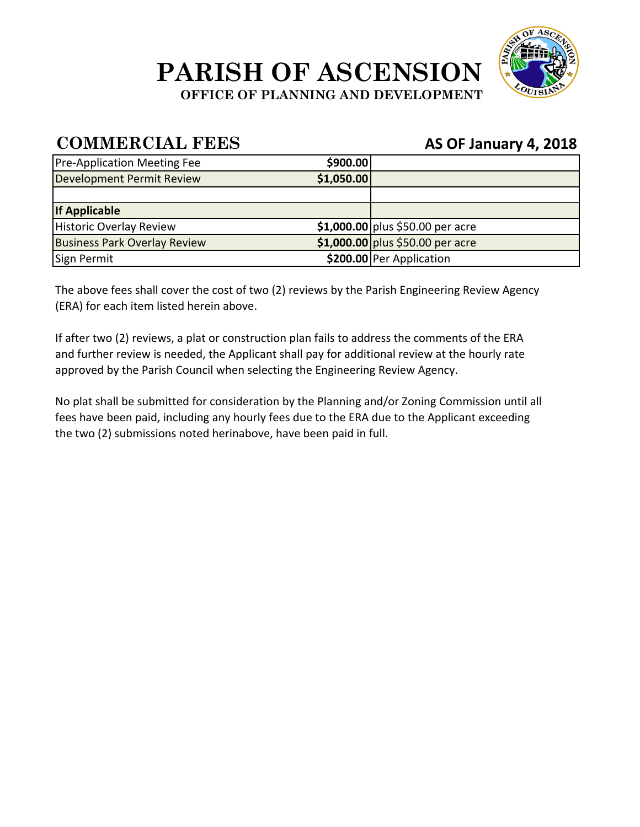

**OFFICE OF PLANNING AND DEVELOPMENT** 

#### **COMMERCIAL FEES AS OF January 4, 2018**

| <b>Pre-Application Meeting Fee</b>  | \$900.00   |                                  |
|-------------------------------------|------------|----------------------------------|
| Development Permit Review           | \$1,050.00 |                                  |
|                                     |            |                                  |
| <b>If Applicable</b>                |            |                                  |
| Historic Overlay Review             |            | \$1,000.00 plus \$50.00 per acre |
| <b>Business Park Overlay Review</b> |            | \$1,000.00 plus \$50.00 per acre |
| Sign Permit                         |            | \$200.00 Per Application         |

The above fees shall cover the cost of two (2) reviews by the Parish Engineering Review Agency (ERA) for each item listed herein above.

If after two (2) reviews, a plat or construction plan fails to address the comments of the ERA and further review is needed, the Applicant shall pay for additional review at the hourly rate approved by the Parish Council when selecting the Engineering Review Agency.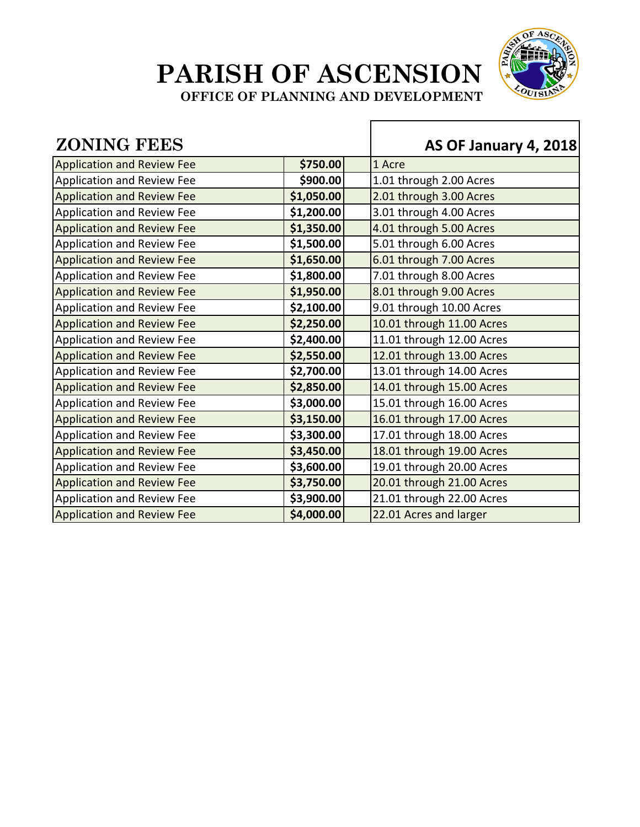

**OFFICE OF PLANNING AND DEVELOPMENT** 

#### **ZONING FEES AS OF January 4, 2018** Application and Review Fee **1 \$750.00** 1 Acre Application and Review Fee **\$900.00** | 1.01 through 2.00 Acres Application and Review Fee **\$1,050.00** 2.01 through 3.00 Acres Application and Review Fee **\$1,200.00** | \$1,200.00 | \$1,200.00 Application and Review Fee **\$1,350.00** 4.01 through 5.00 Acres Application and Review Fee **\$1,500.00** 5.01 through 6.00 Acres Application and Review Fee **\$1,650.00** 6.01 through 7.00 Acres Application and Review Fee **\$1,800.00** 7.01 through 8.00 Acres Application and Review Fee **\$1,950.00** 8.01 through 9.00 Acres Application and Review Fee **\$2,100.00** 9.01 through 10.00 Acres Application and Review Fee **\$2,250.00** 10.01 through 11.00 Acres Application and Review Fee **12.400.00** | 11.01 through 12.00 Acres Application and Review Fee **\$2,550.00** 12.01 through 13.00 Acres Application and Review Fee **\$2,700.00** 13.01 through 14.00 Acres Application and Review Fee **\$2,850.00** 14.01 through 15.00 Acres Application and Review Fee **\$3,000.00** 15.01 through 16.00 Acres Application and Review Fee **1998 \$3,150.00** 16.01 through 17.00 Acres Application and Review Fee **1998** | \$3,300.00 | 17.01 through 18.00 Acres Application and Review Fee **\$3,450.00** 18.01 through 19.00 Acres Application and Review Fee **\$3,600.00** 19.01 through 20.00 Acres Application and Review Fee **\$3,750.00** 20.01 through 21.00 Acres Application and Review Fee **1988** | \$3,900.00 | 21.01 through 22.00 Acres Application and Review Fee **\$4,000.00** 22.01 Acres and larger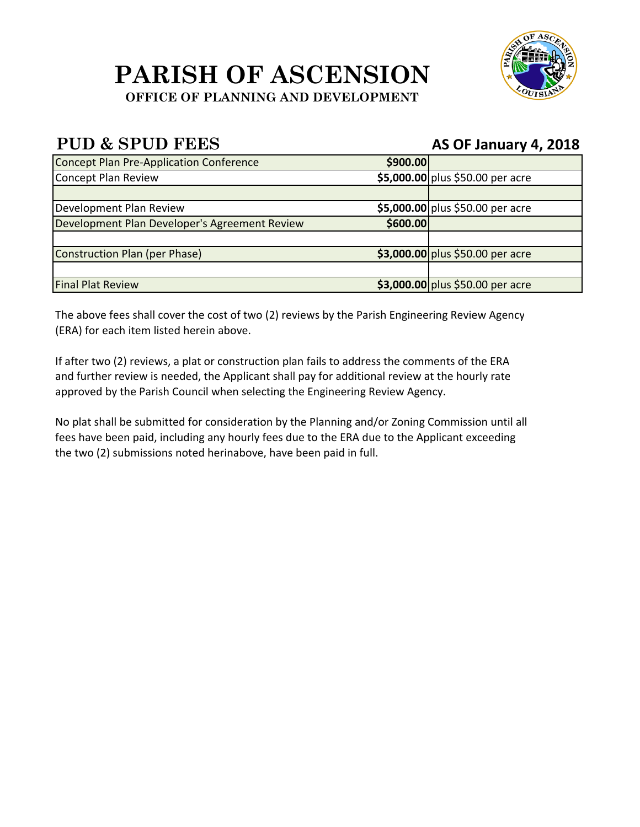#### **PARISH OF ASCENSION OFFICE OF PLANNING AND DEVELOPMENT**



| <b>Concept Plan Pre-Application Conference</b> | \$900.00 |                                  |
|------------------------------------------------|----------|----------------------------------|
| Concept Plan Review                            |          | \$5,000.00 plus \$50.00 per acre |
|                                                |          |                                  |
| Development Plan Review                        |          | \$5,000.00 plus \$50.00 per acre |
| Development Plan Developer's Agreement Review  | \$600.00 |                                  |
|                                                |          |                                  |
| Construction Plan (per Phase)                  |          | \$3,000.00 plus \$50.00 per acre |
|                                                |          |                                  |
| <b>Final Plat Review</b>                       |          | \$3,000.00 plus \$50.00 per acre |

The above fees shall cover the cost of two (2) reviews by the Parish Engineering Review Agency (ERA) for each item listed herein above.

If after two (2) reviews, a plat or construction plan fails to address the comments of the ERA and further review is needed, the Applicant shall pay for additional review at the hourly rate approved by the Parish Council when selecting the Engineering Review Agency.

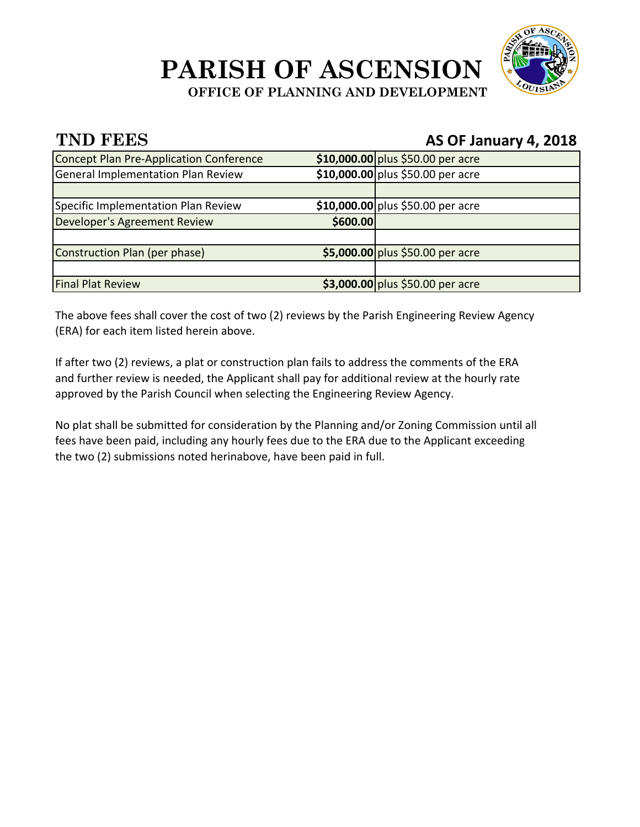

**OFFICE OF PLANNING AND DEVELOPMENT** 

#### **TND FEES AS OF January 4, 2018**

| Concept Plan Pre-Application Conference   |          | \$10,000.00 plus \$50.00 per acre |
|-------------------------------------------|----------|-----------------------------------|
| <b>General Implementation Plan Review</b> |          | \$10,000.00 plus \$50.00 per acre |
|                                           |          |                                   |
| Specific Implementation Plan Review       |          | \$10,000.00 plus \$50.00 per acre |
| Developer's Agreement Review              | \$600.00 |                                   |
|                                           |          |                                   |
| Construction Plan (per phase)             |          | \$5,000.00 plus \$50.00 per acre  |
|                                           |          |                                   |
| <b>Final Plat Review</b>                  |          | \$3,000.00 plus \$50.00 per acre  |

The above fees shall cover the cost of two (2) reviews by the Parish Engineering Review Agency (ERA) for each item listed herein above.

If after two (2) reviews, a plat or construction plan fails to address the comments of the ERA and further review is needed, the Applicant shall pay for additional review at the hourly rate approved by the Parish Council when selecting the Engineering Review Agency.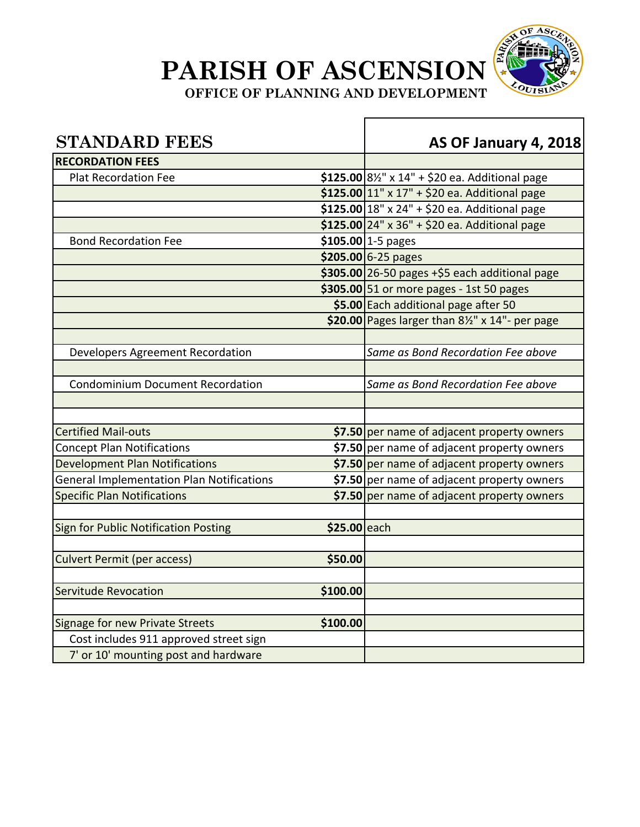

**OFFICE OF PLANNING AND DEVELOPMENT** 

| <b>STANDARD FEES</b>                             |              | AS OF January 4, 2018                                                     |
|--------------------------------------------------|--------------|---------------------------------------------------------------------------|
| <b>RECORDATION FEES</b>                          |              |                                                                           |
| <b>Plat Recordation Fee</b>                      |              | \$125.00 8 <sup>1</sup> / <sub>2</sub> " x 14" + \$20 ea. Additional page |
|                                                  |              | \$125.00 $11"$ x 17" + \$20 ea. Additional page                           |
|                                                  |              | \$125.00 18" x 24" + \$20 ea. Additional page                             |
|                                                  |              | \$125.00 24" x 36" + \$20 ea. Additional page                             |
| <b>Bond Recordation Fee</b>                      |              | \$105.00 1-5 pages                                                        |
|                                                  |              | \$205.00 6-25 pages                                                       |
|                                                  |              | $$305.00$ 26-50 pages +\$5 each additional page                           |
|                                                  |              | \$305.00 51 or more pages - 1st 50 pages                                  |
|                                                  |              | \$5.00 Each additional page after 50                                      |
|                                                  |              | \$20.00 Pages larger than 81/2" x 14"- per page                           |
|                                                  |              |                                                                           |
| Developers Agreement Recordation                 |              | Same as Bond Recordation Fee above                                        |
|                                                  |              |                                                                           |
| <b>Condominium Document Recordation</b>          |              | Same as Bond Recordation Fee above                                        |
|                                                  |              |                                                                           |
|                                                  |              |                                                                           |
| <b>Certified Mail-outs</b>                       |              | \$7.50 per name of adjacent property owners                               |
| <b>Concept Plan Notifications</b>                |              | \$7.50 per name of adjacent property owners                               |
| <b>Development Plan Notifications</b>            |              | \$7.50 per name of adjacent property owners                               |
| <b>General Implementation Plan Notifications</b> |              | \$7.50 per name of adjacent property owners                               |
| <b>Specific Plan Notifications</b>               |              | \$7.50 per name of adjacent property owners                               |
|                                                  |              |                                                                           |
| <b>Sign for Public Notification Posting</b>      | \$25.00 each |                                                                           |
|                                                  |              |                                                                           |
| <b>Culvert Permit (per access)</b>               | \$50.00      |                                                                           |
|                                                  |              |                                                                           |
| <b>Servitude Revocation</b>                      | \$100.00     |                                                                           |
|                                                  |              |                                                                           |
| <b>Signage for new Private Streets</b>           | \$100.00     |                                                                           |
| Cost includes 911 approved street sign           |              |                                                                           |
| 7' or 10' mounting post and hardware             |              |                                                                           |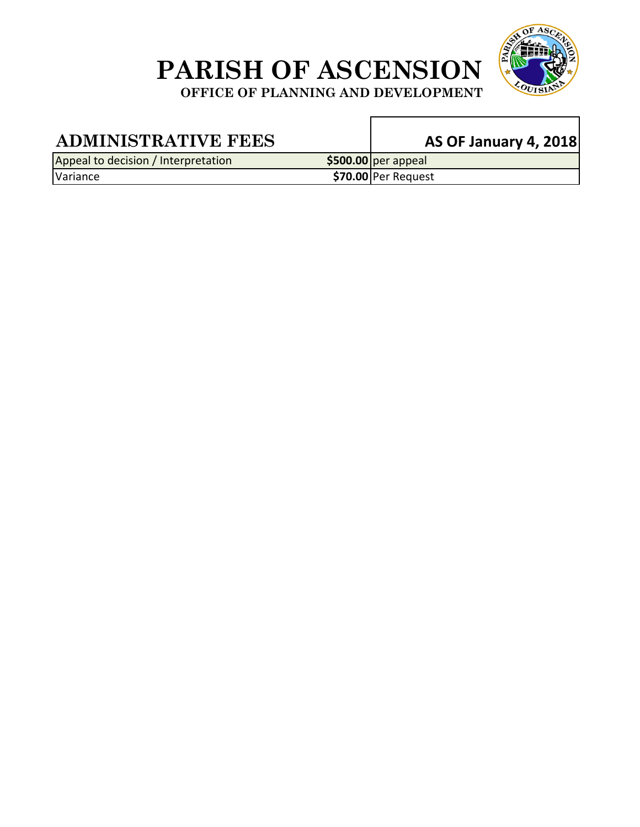

**OFFICE OF PLANNING AND DEVELOPMENT** 

 $\mathbf{r}$ 

| <b>ADMINISTRATIVE FEES</b>          | <b>AS OF January 4, 2018</b> |
|-------------------------------------|------------------------------|
| Appeal to decision / Interpretation | $$500.00$ per appeal         |
| Variance                            | $$70.00$ Per Request         |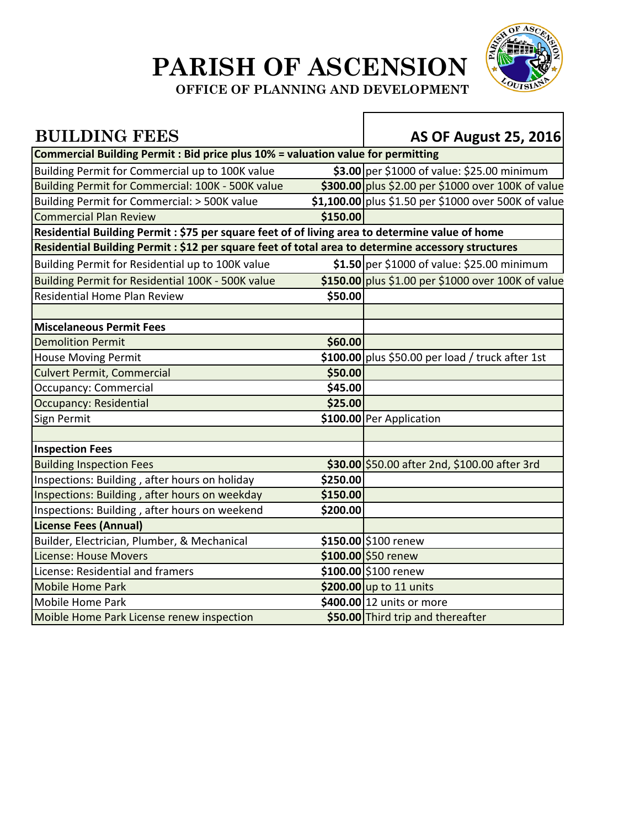

**OFFICE OF PLANNING AND DEVELOPMENT** 

#### **BUILDING FEES AS OF August 25, 2016 Commercial Building Permit : Bid price plus 10% = valuation value for permitting** Building Permit for Commercial up to 100K value **\$3.00** per \$1000 of value: \$25.00 minimum Building Permit for Commercial: 100K - 500K value **\$300.00** plus \$2.00 per \$1000 over 100K of value Building Permit for Commercial: > 500K value **\$1,100.00** plus \$1.50 per \$1000 over 500K of value **Commercial Plan Review <b>\$150.00 Residential Building Permit : \$75 per square feet of of living area to determine value of home Residential Building Permit : \$12 per square feet of total area to determine accessory structures** Building Permit for Residential up to 100K value **\$1.50** per \$1000 of value: \$25.00 minimum Building Permit for Residential 100K ‐ 500K value **\$150.00** plus \$1.00 per \$1000 over 100K of value Residential Home Plan Review **\$50.00 Miscelaneous Permit Fees Demolition Permit \$60.00** House Moving Permit **\$100.00** plus \$50.00 per load / truck after 1st Culvert Permit, Commercial **\$50.00** Occupancy: Commercial **\$45.00** Occupancy: Residential **\$25.00** Sign Permit **\$100.00** Per Application **Inspection Fees** Building Inspection Fees **\$30.00** \$50.00 after 2nd, \$100.00 after 3rd Inspections: Building , after hours on holiday **\$250.00** Inspections: Building , after hours on weekday **\$150.00** Inspections: Building , after hours on weekend **\$200.00 License Fees (Annual)** Builder, Electrician, Plumber, & Mechanical **\$150.00** \$100 renew License: House Movers **by Community Community State State State State State State State State State State State State State State State State State State State State State State State State State State State State State St** License: Residential and framers **\$100.00** \$100.00 \$100 renew Mobile Home Park **1998** Mobile Home Park **11 units** Mobile Home Park **XXX 12 Units 12 12 Units of more** that the state of the state of the state of the state of the state of the state of the state of the state of the state of the state of the state of the state of the sta Moible Home Park License renew inspection **\$50.00** Third trip and thereafter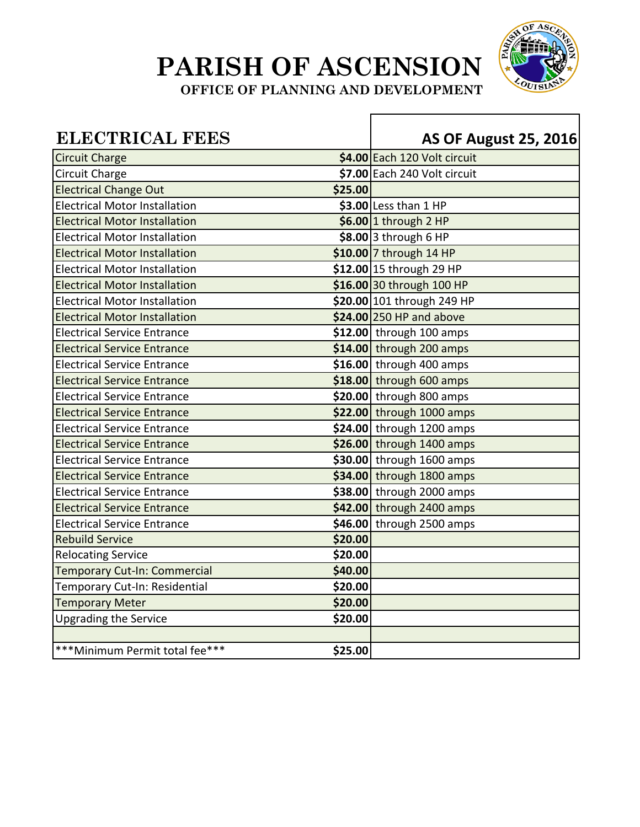

**OFFICE OF PLANNING AND DEVELOPMENT** 

| <b>ELECTRICAL FEES</b>               |         | <b>AS OF August 25, 2016</b> |
|--------------------------------------|---------|------------------------------|
| <b>Circuit Charge</b>                |         | \$4.00 Each 120 Volt circuit |
| Circuit Charge                       |         | \$7.00 Each 240 Volt circuit |
| <b>Electrical Change Out</b>         | \$25.00 |                              |
| <b>Electrical Motor Installation</b> |         | $$3.00$ Less than 1 HP       |
| <b>Electrical Motor Installation</b> |         | $$6.00$ 1 through 2 HP       |
| <b>Electrical Motor Installation</b> |         | $$8.00$ 3 through 6 HP       |
| <b>Electrical Motor Installation</b> |         | $$10.00$ 7 through 14 HP     |
| <b>Electrical Motor Installation</b> |         | \$12.00 15 through 29 HP     |
| <b>Electrical Motor Installation</b> |         | \$16.00 30 through 100 HP    |
| <b>Electrical Motor Installation</b> |         | \$20.00 101 through 249 HP   |
| <b>Electrical Motor Installation</b> |         | \$24.00 250 HP and above     |
| <b>Electrical Service Entrance</b>   |         | $$12.00$ through 100 amps    |
| <b>Electrical Service Entrance</b>   |         | $$14.00$ through 200 amps    |
| <b>Electrical Service Entrance</b>   |         | $$16.00$ through 400 amps    |
| <b>Electrical Service Entrance</b>   |         | \$18.00 through 600 amps     |
| <b>Electrical Service Entrance</b>   |         | $$20.00$ through 800 amps    |
| <b>Electrical Service Entrance</b>   |         | \$22.00 through 1000 amps    |
| <b>Electrical Service Entrance</b>   |         | $$24.00$ through 1200 amps   |
| <b>Electrical Service Entrance</b>   |         | \$26.00 through 1400 amps    |
| <b>Electrical Service Entrance</b>   |         | \$30.00 through 1600 amps    |
| <b>Electrical Service Entrance</b>   |         | $$34.00$ through 1800 amps   |
| <b>Electrical Service Entrance</b>   |         | \$38.00 through 2000 amps    |
| <b>Electrical Service Entrance</b>   |         | \$42.00 through 2400 amps    |
| <b>Electrical Service Entrance</b>   |         | \$46.00 through 2500 amps    |
| <b>Rebuild Service</b>               | \$20.00 |                              |
| <b>Relocating Service</b>            | \$20.00 |                              |
| <b>Temporary Cut-In: Commercial</b>  | \$40.00 |                              |
| Temporary Cut-In: Residential        | \$20.00 |                              |
| <b>Temporary Meter</b>               | \$20.00 |                              |
| <b>Upgrading the Service</b>         | \$20.00 |                              |
|                                      |         |                              |
| *** Minimum Permit total fee***      | \$25.00 |                              |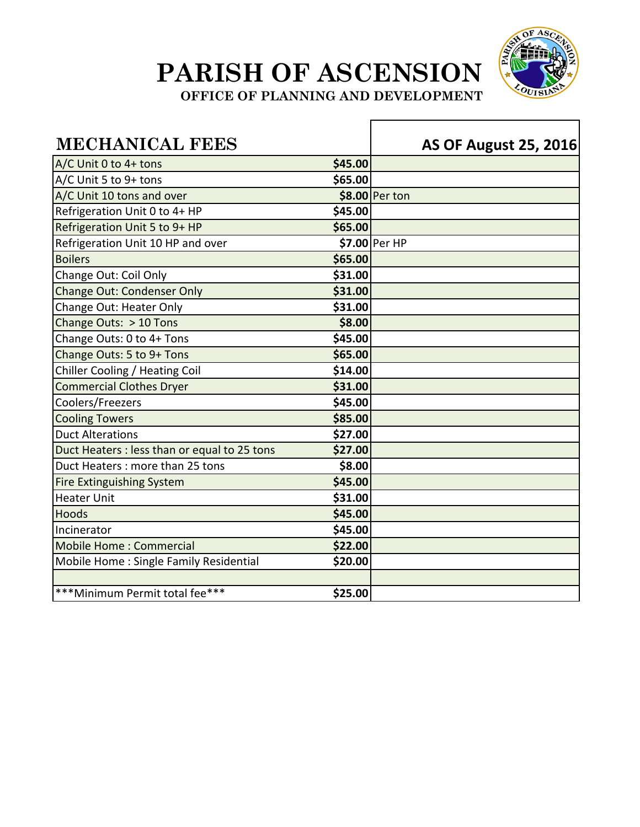

**OFFICE OF PLANNING AND DEVELOPMENT** 

г

| <b>MECHANICAL FEES</b>                       |         | <b>AS OF August 25, 2016</b> |
|----------------------------------------------|---------|------------------------------|
| A/C Unit 0 to 4+ tons                        | \$45.00 |                              |
| A/C Unit 5 to 9+ tons                        | \$65.00 |                              |
| A/C Unit 10 tons and over                    |         | \$8.00 Per ton               |
| Refrigeration Unit 0 to 4+ HP                | \$45.00 |                              |
| Refrigeration Unit 5 to 9+ HP                | \$65.00 |                              |
| Refrigeration Unit 10 HP and over            |         | \$7.00 Per HP                |
| <b>Boilers</b>                               | \$65.00 |                              |
| Change Out: Coil Only                        | \$31.00 |                              |
| <b>Change Out: Condenser Only</b>            | \$31.00 |                              |
| Change Out: Heater Only                      | \$31.00 |                              |
| Change Outs: > 10 Tons                       | \$8.00  |                              |
| Change Outs: 0 to 4+ Tons                    | \$45.00 |                              |
| Change Outs: 5 to 9+ Tons                    | \$65.00 |                              |
| Chiller Cooling / Heating Coil               | \$14.00 |                              |
| <b>Commercial Clothes Dryer</b>              | \$31.00 |                              |
| Coolers/Freezers                             | \$45.00 |                              |
| <b>Cooling Towers</b>                        | \$85.00 |                              |
| <b>Duct Alterations</b>                      | \$27.00 |                              |
| Duct Heaters : less than or equal to 25 tons | \$27.00 |                              |
| Duct Heaters: more than 25 tons              | \$8.00  |                              |
| <b>Fire Extinguishing System</b>             | \$45.00 |                              |
| <b>Heater Unit</b>                           | \$31.00 |                              |
| Hoods                                        | \$45.00 |                              |
| Incinerator                                  | \$45.00 |                              |
| <b>Mobile Home: Commercial</b>               | \$22.00 |                              |
| Mobile Home: Single Family Residential       | \$20.00 |                              |
| *** Minimum Permit total fee***              | \$25.00 |                              |